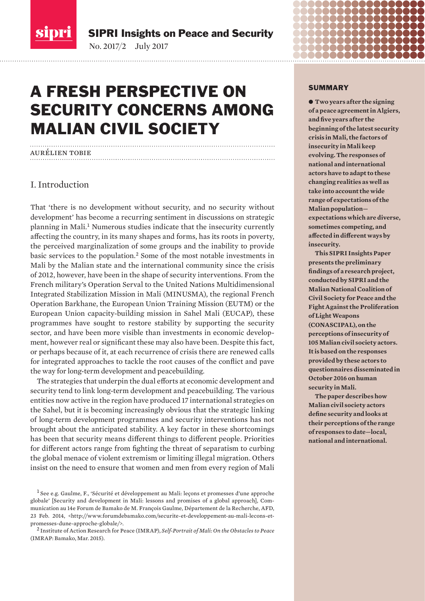

SIPRI Insights on Peace and Security

No. 2017/2-July 2017

# A FRESH PERSPECTIVE ON SECURITY CONCERNS AMONG MALIAN CIVIL SOCIETY

#### aurélien tobie

#### I. Introduction

That 'there is no development without security, and no security without development' has become a recurring sentiment in discussions on strategic planning in Mali.1 Numerous studies indicate that the insecurity currently affecting the country, in its many shapes and forms, has its roots in poverty, the perceived marginalization of some groups and the inability to provide basic services to the population.<sup>2</sup> Some of the most notable investments in Mali by the Malian state and the international community since the crisis of 2012, however, have been in the shape of security interventions. From the French military's Operation Serval to the United Nations Multidimensional Integrated Stabilization Mission in Mali (MINUSMA), the regional French Operation Barkhane, the European Union Training Mission (EUTM) or the European Union capacity-building mission in Sahel Mali (EUCAP), these programmes have sought to restore stability by supporting the security sector, and have been more visible than investments in economic development, however real or significant these may also have been. Despite this fact, or perhaps because of it, at each recurrence of crisis there are renewed calls for integrated approaches to tackle the root causes of the conflict and pave the way for long-term development and peacebuilding.

The strategies that underpin the dual efforts at economic development and security tend to link long-term development and peacebuilding. The various entities now active in the region have produced 17 international strategies on the Sahel, but it is becoming increasingly obvious that the strategic linking of long-term development programmes and security interventions has not brought about the anticipated stability. A key factor in these shortcomings has been that security means different things to different people. Priorities for different actors range from fighting the threat of separatism to curbing the global menace of violent extremism or limiting illegal migration. Others insist on the need to ensure that women and men from every region of Mali

2 Institute of Action Research for Peace (IMRAP), *Self-Portrait of Mali: On the Obstacles to Peace* (IMRAP: Bamako, Mar. 2015).

#### SUMMARY

 $\bullet$  **Two years after the signing of a peace agreement in Algiers, and fi ve years after the beginning of the latest security crisis in Mali, the factors of insecurity in Mali keep evolving. The responses of national and international actors have to adapt to these changing realities as well as take into account the wide range of expectations of the Malian population expectations which are diverse, sometimes competing, and**  affected in different ways by **insecurity.**

**This SIPRI Insights Paper presents the preliminary fi ndings of a research project, conducted by SIPRI and the Malian National Coalition of Civil Society for Peace and the Fight Against the Proliferation of Light Weapons (CONASCIPAL), on the perceptions of insecurity of 105 Malian civil society actors. It is based on the responses provided by these actors to questionnaires disseminated in October 2016 on human security in Mali.**

**The paper describes how Malian civil society actors defi ne security and looks at their perceptions of the range of responses to date—local, national and international.**

<sup>1</sup> See e.g. Gaulme, F., 'Sécurité et développement au Mali: leçons et promesses d'une approche globale' [Security and development in Mali: lessons and promises of a global approach], Communication au 14e Forum de Bamako de M. François Gaulme, Département de la Recherche, AFD, 23 Feb. 2014, <http://www.forumdebamako.com/securite-et-developpement-au-mali-lecons-etpromesses-dune-approche-globale/>.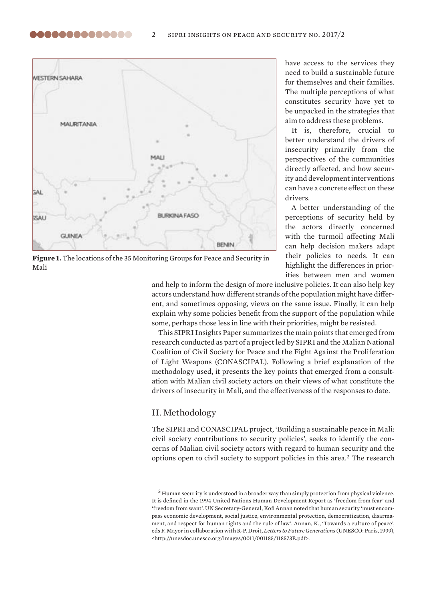

,,,,,,,,,,,,,,

**Figure 1.** The locations of the 35 Monitoring Groups for Peace and Security in Mali

have access to the services they need to build a sustainable future for themselves and their families. The multiple perceptions of what constitutes security have yet to be unpacked in the strategies that aim to address these problems.

It is, therefore, crucial to better understand the drivers of insecurity primarily from the perspectives of the communities directly affected, and how security and development interventions can have a concrete effect on these drivers

A better understanding of the perceptions of security held by the actors directly concerned with the turmoil affecting Mali can help decision makers adapt their policies to needs. It can highlight the differences in priorities between men and women

and help to inform the design of more inclusive policies. It can also help key actors understand how different strands of the population might have different, and sometimes opposing, views on the same issue. Finally, it can help explain why some policies benefit from the support of the population while some, perhaps those less in line with their priorities, might be resisted.

This SIPRI Insights Paper summarizes the main points that emerged from research conducted as part of a project led by SIPRI and the Malian National Coalition of Civil Society for Peace and the Fight Against the Proliferation of Light Weapons (CONASCIPAL). Following a brief explanation of the methodology used, it presents the key points that emerged from a consultation with Malian civil society actors on their views of what constitute the drivers of insecurity in Mali, and the effectiveness of the responses to date.

#### II. Methodology

The SIPRI and CONASCIPAL project, 'Building a sustainable peace in Mali: civil society contributions to security policies', seeks to identify the concerns of Malian civil society actors with regard to human security and the options open to civil society to support policies in this area.3 The research

<sup>&</sup>lt;sup>3</sup> Human security is understood in a broader way than simply protection from physical violence. It is defined in the 1994 United Nations Human Development Report as 'freedom from fear' and 'freedom from want'. UN Secretary-General, Kofi Annan noted that human security 'must encompass economic development, social justice, environmental protection, democratization, disarmament, and respect for human rights and the rule of law'. Annan, K., 'Towards a culture of peace', eds F. Mayor in collaboration with R-P. Droit, *Letters to Future Generations* (UNESCO: Paris, 1999), <http://unesdoc.unesco.org/images/0011/001185/118573E.pdf>.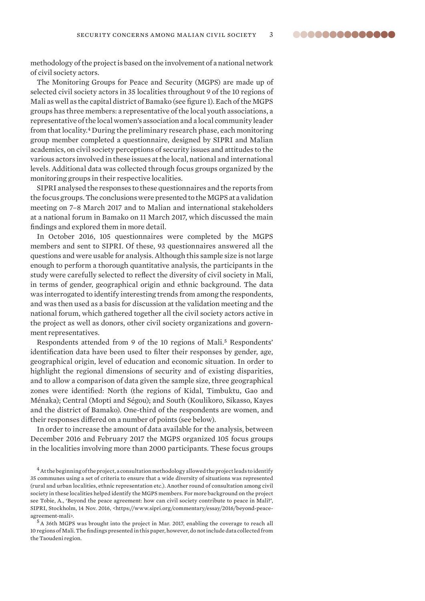..............

methodology of the project is based on the involvement of a national network of civil society actors.

The Monitoring Groups for Peace and Security (MGPS) are made up of selected civil society actors in 35 localities throughout 9 of the 10 regions of Mali as well as the capital district of Bamako (see figure 1). Each of the MGPS groups has three members: a representative of the local youth associations, a representative of the local women's association and a local community leader from that locality.4 During the preliminary research phase, each monitoring group member completed a questionnaire, designed by SIPRI and Malian academics, on civil society perceptions of security issues and attitudes to the various actors involved in these issues at the local, national and international levels. Additional data was collected through focus groups organized by the monitoring groups in their respective localities.

SIPRI analysed the responses to these questionnaires and the reports from the focus groups. The conclusions were presented to the MGPS at a valid ation meeting on 7–8 March 2017 and to Malian and international stakeholders at a national forum in Bamako on 11 March 2017, which discussed the main findings and explored them in more detail.

In October 2016, 105 questionnaires were completed by the MGPS members and sent to SIPRI. Of these, 93 questionnaires answered all the questions and were usable for analysis. Although this sample size is not large enough to perform a thorough quantitative analysis, the participants in the study were carefully selected to reflect the diversity of civil society in Mali, in terms of gender, geographical origin and ethnic background. The data was interrogated to identify interesting trends from among the respondents, and was then used as a basis for discussion at the validation meeting and the national forum, which gathered together all the civil society actors active in the project as well as donors, other civil society organizations and government representatives.

Respondents attended from 9 of the 10 regions of Mali.<sup>5</sup> Respondents' identification data have been used to filter their responses by gender, age, geographical origin, level of education and economic situation. In order to highlight the regional dimensions of security and of existing disparities, and to allow a comparison of data given the sample size, three geographical zones were identified: North (the regions of Kidal, Timbuktu, Gao and Ménaka); Central (Mopti and Ségou); and South (Koulikoro, Sikasso, Kayes and the district of Bamako). One-third of the respondents are women, and their responses differed on a number of points (see below).

In order to increase the amount of data available for the analysis, between December 2016 and February 2017 the MGPS organized 105 focus groups in the localities involving more than 2000 participants. These focus groups

5 A 36th MGPS was brought into the project in Mar. 2017, enabling the coverage to reach all 10 regions of Mali. The findings presented in this paper, however, do not include data collected from the Taoudeni region.

 $4$  At the beginning of the project, a consultation methodology allowed the project leads to identify 35 communes using a set of criteria to ensure that a wide diversity of situations was represented (rural and urban localities, ethnic representation etc.). Another round of consultation among civil society in these localities helped identify the MGPS members. For more background on the project see Tobie, A., 'Beyond the peace agreement: how can civil society contribute to peace in Mali?', SIPRI, Stockholm, 14 Nov. 2016, <https://www.sipri.org/commentary/essay/2016/beyond-peaceagreement-mali>.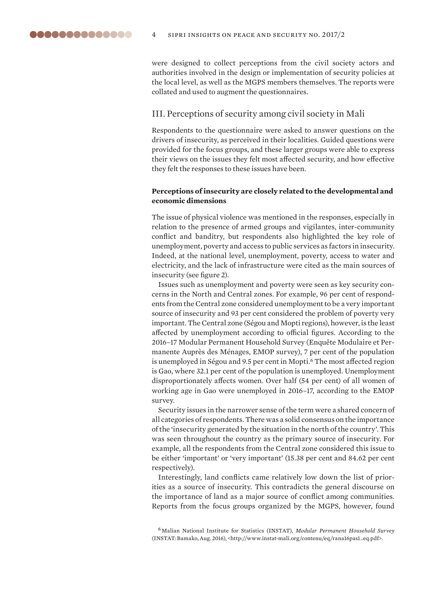were designed to collect perceptions from the civil society actors and authorities involved in the design or implementation of security policies at the local level, as well as the MGPS members themselves. The reports were collated and used to augment the questionnaires.

#### III. Perceptions of security among civil society in Mali

Respondents to the questionnaire were asked to answer questions on the drivers of insecurity, as perceived in their localities. Guided questions were provided for the focus groups, and these larger groups were able to express their views on the issues they felt most affected security, and how effective they felt the responses to these issues have been.

#### **Perceptions of insecurity are closely related to the developmental and economic dimensions**

The issue of physical violence was mentioned in the responses, especially in relation to the presence of armed groups and vigilantes, inter-community conflict and banditry, but respondents also highlighted the key role of unemployment, poverty and access to public services as factors in insecurity. Indeed, at the national level, unemployment, poverty, access to water and electricity, and the lack of infrastructure were cited as the main sources of insecurity (see figure 2).

Issues such as unemployment and poverty were seen as key security concerns in the North and Central zones. For example, 96 per cent of respondents from the Central zone considered unemployment to be a very important source of insecurity and 93 per cent considered the problem of poverty very important. The Central zone (Ségou and Mopti regions), however, is the least affected by unemployment according to official figures. According to the 2016–17 Modular Permanent Household Survey (Enquête Modulaire et Permanente Auprès des Ménages, EMOP survey), 7 per cent of the population is unemployed in Ségou and 9.5 per cent in Mopti.<sup>6</sup> The most affected region is Gao, where 32.1 per cent of the population is unemployed. Unemployment disproportionately affects women. Over half (54 per cent) of all women of working age in Gao were unemployed in 2016–17, according to the EMOP survey.

Security issues in the narrower sense of the term were a shared concern of all categories of respondents. There was a solid consensus on the importance of the 'insecurity generated by the situation in the north of the country'. This was seen throughout the country as the primary source of insecurity. For example, all the respondents from the Central zone considered this issue to be either 'important' or 'very important' (15.38 per cent and 84.62 per cent respectively).

Interestingly, land conflicts came relatively low down the list of priorities as a source of insecurity. This contradicts the general discourse on the importance of land as a major source of conflict among communities. Reports from the focus groups organized by the MGPS, however, found

<sup>6</sup> Malian National Institute for Statistics (INSTAT), *Modular Permanent Household Survey* (INSTAT: Bamako, Aug. 2016), <http://www.instat-mali.org/contenu/eq/rana16pas1\_eq.pdf>.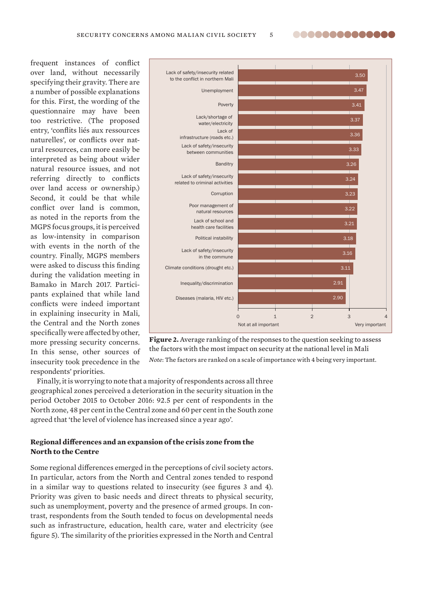frequent instances of conflict over land, without necessarily specifying their gravity. There are a number of possible explanations for this. First, the wording of the questionnaire may have been too restrictive. (The proposed entry, 'conflits liés aux ressources naturelles', or conflicts over natural resources, can more easily be interpreted as being about wider natural resource issues, and not referring directly to conflicts over land access or ownership.) Second, it could be that while conflict over land is common. as noted in the reports from the MGPS focus groups, it is perceived as low-intensity in comparison with events in the north of the country. Finally, MGPS members were asked to discuss this finding during the validation meeting in Bamako in March 2017. Participants explained that while land conflicts were indeed important in explaining insecurity in Mali, the Central and the North zones specifically were affected by other, more pressing security concerns. In this sense, other sources of insecurity took precedence in the respondents' priorities.





Finally, it is worrying to note that a majority of respondents across all three geographical zones perceived a deterioration in the security situation in the period October 2015 to October 2016: 92.5 per cent of respondents in the North zone, 48 per cent in the Central zone and 60 per cent in the South zone agreed that 'the level of violence has increased since a year ago'.

#### **Regional differences and an expansion of the crisis zone from the North to the Centre**

Some regional differences emerged in the perceptions of civil society actors. In particular, actors from the North and Central zones tended to respond in a similar way to questions related to insecurity (see figures 3 and 4). Priority was given to basic needs and direct threats to physical security, such as unemployment, poverty and the presence of armed groups. In contrast, respondents from the South tended to focus on developmental needs such as infrastructure, education, health care, water and electricity (see figure 5). The similarity of the priorities expressed in the North and Central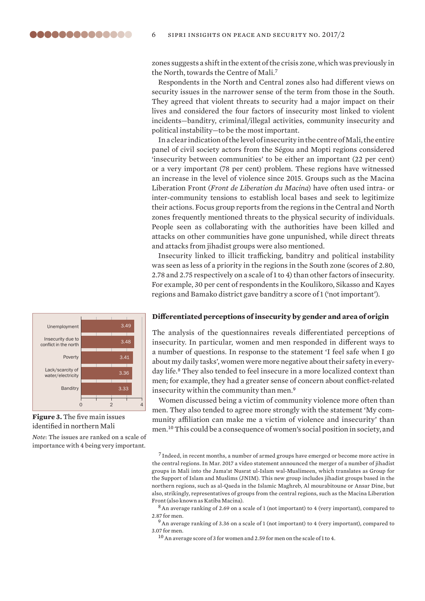zones suggests a shift in the extent of the crisis zone, which was previously in the North, towards the Centre of Mali.<sup>7</sup>

Respondents in the North and Central zones also had different views on security issues in the narrower sense of the term from those in the South. They agreed that violent threats to security had a major impact on their lives and considered the four factors of insecurity most linked to violent incidents—banditry, criminal/illegal activities, community insecurity and political instability—to be the most important.

In a clear indication of the level of insecurity in the centre of Mali, the entire panel of civil society actors from the Ségou and Mopti regions considered 'insecurity between communities' to be either an important (22 per cent) or a very important (78 per cent) problem. These regions have witnessed an increase in the level of violence since 2015. Groups such as the Macina Liberation Front (*Front de Liberation du Macina*) have often used intra- or inter-community tensions to establish local bases and seek to legitimize their actions. Focus group reports from the regions in the Central and North zones frequently mentioned threats to the physical security of individuals. People seen as collaborating with the authorities have been killed and attacks on other communities have gone unpunished, while direct threats and attacks from jihadist groups were also mentioned.

Insecurity linked to illicit trafficking, banditry and political instability was seen as less of a priority in the regions in the South zone (scores of 2.80, 2.78 and 2.75 respectively on a scale of 1 to 4) than other factors of insecurity. For example, 30 per cent of respondents in the Koulikoro, Sikasso and Kayes regions and Bamako district gave banditry a score of 1 ('not important').



The analysis of the questionnaires reveals differentiated perceptions of insecurity. In particular, women and men responded in different ways to a number of questions. In response to the statement 'I feel safe when I go about my daily tasks', women were more negative about their safety in everyday life.8 They also tended to feel insecure in a more localized context than men; for example, they had a greater sense of concern about conflict-related insecurity within the community than men.<sup>9</sup>

Women discussed being a victim of community violence more often than men. They also tended to agree more strongly with the statement 'My community affiliation can make me a victim of violence and insecurity' than men.10 This could be a consequence of women's social position in society, and

 $^7$  Indeed, in recent months, a number of armed groups have emerged or become more active in the central regions. In Mar. 2017 a video statement announced the merger of a number of jihadist groups in Mali into the Jama'at Nusrat ul-Islam wal-Muslimeen, which translates as Group for the Support of Islam and Muslims (JNIM). This new group includes jihadist groups based in the northern regions, such as al-Qaeda in the Islamic Maghreb, Al mourabitoune or Ansar Dine, but also, strikingly, representatives of groups from the central regions, such as the Macina Liberation Front (also known as Katiba Macina).

8 An average ranking of 2.69 on a scale of 1 (not important) to 4 (very important), compared to 2.87 for men.

 $^9$  An average ranking of 3.36 on a scale of 1 (not important) to 4 (very important), compared to 3.07 for men.

<sup>10</sup> An average score of 3 for women and 2.59 for men on the scale of 1 to 4.



**Figure 3.** The five main issues identified in northern Mali

*Note*: The issues are ranked on a scale of importance with 4 being very important.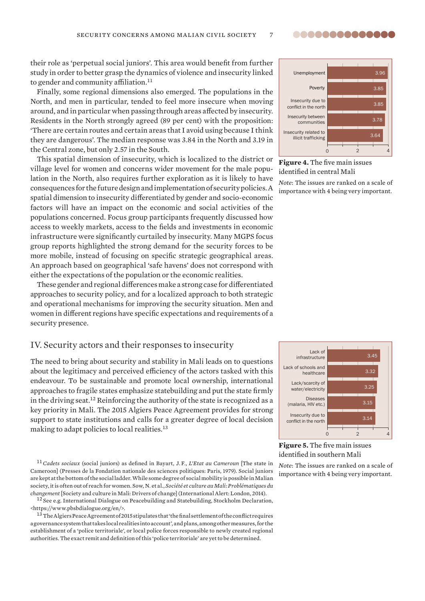their role as 'perpetual social juniors'. This area would benefit from further study in order to better grasp the dynamics of violence and insecurity linked to gender and community affiliation.<sup>11</sup>

Finally, some regional dimensions also emerged. The populations in the North, and men in particular, tended to feel more insecure when moving around, and in particular when passing through areas affected by insecurity. Residents in the North strongly agreed (89 per cent) with the proposition: 'There are certain routes and certain areas that I avoid using because I think they are dangerous'. The median response was 3.84 in the North and 3.19 in the Central zone, but only 2.57 in the South.

This spatial dimension of insecurity, which is localized to the district or village level for women and concerns wider movement for the male population in the North, also requires further exploration as it is likely to have consequences for the future design and implementation of security policies. A spatial dimension to insecurity differentiated by gender and socio-economic factors will have an impact on the economic and social activities of the populations concerned. Focus group participants frequently discussed how access to weekly markets, access to the fields and investments in economic infrastructure were significantly curtailed by insecurity. Many MGPS focus group reports highlighted the strong demand for the security forces to be more mobile, instead of focusing on specific strategic geographical areas. An approach based on geographical 'safe havens' does not correspond with either the expectations of the population or the economic realities.

These gender and regional differences make a strong case for differentiated approaches to security policy, and for a localized approach to both strategic and operational mechanisms for improving the security situation. Men and women in different regions have specific expectations and requirements of a security presence.

#### IV. Security actors and their responses to insecurity

The need to bring about security and stability in Mali leads on to questions about the legitimacy and perceived efficiency of the actors tasked with this endeavour. To be sustainable and promote local ownership, international approaches to fragile states emphasize statebuilding and put the state firmly in the driving seat.12 Reinforcing the authority of the state is recognized as a key priority in Mali. The 2015 Algiers Peace Agreement provides for strong support to state institutions and calls for a greater degree of local decision making to adapt policies to local realities.<sup>13</sup>

<sup>11</sup> Cadets sociaux (social juniors) as defined in Bayart, J.F., *L'Etat au Cameroun* [The state in Cameroon] (Presses de la Fondation nationale des sciences politiques: Paris, 1979). Social juniors are kept at the bottom of the social ladder. While some degree of social mobility is possible in Malian society, it is often out of reach for women. Sow, N. et al., *Socié té et culture au Mali: Problé matiques du changement* [Society and culture in Mali: Drivers of change] (International Alert: London, 2014).

<sup>12</sup> See e.g. International Dialogue on Peacebuilding and Statebuilding, Stockholm Declaration, <https://www.pbsbdialogue.org/en/>.

 $^{13}$  The Algiers Peace Agreement of 2015 stipulates that 'the final settlement of the conflict requires a governance system that takes local realities into account', and plans, among other measures, for the establishment of a 'police territoriale', or local police forces responsible to newly created regional authorities. The exact remit and definition of this 'police territoriale' are yet to be determined.



Figure 4. The five main issues identified in central Mali

*Note*: The issues are ranked on a scale of importance with 4 being very important.



**Figure 5.** The five main issues identified in southern Mali

*Note*: The issues are ranked on a scale of importance with 4 being very important.

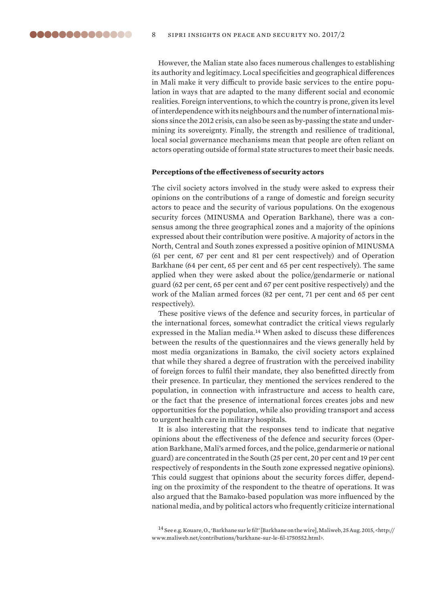However, the Malian state also faces numerous challenges to establishing its authority and legitimacy. Local specificities and geographical differences in Mali make it very difficult to provide basic services to the entire population in ways that are adapted to the many different social and economic realities. Foreign interventions, to which the country is prone, given its level of interdependence with its neighbours and the number of international missions since the 2012 crisis, can also be seen as by-passing the state and undermining its sovereignty. Finally, the strength and resilience of traditional, local social governance mechanisms mean that people are often reliant on actors operating outside of formal state structures to meet their basic needs.

#### Perceptions of the effectiveness of security actors

The civil society actors involved in the study were asked to express their opinions on the contributions of a range of domestic and foreign security actors to peace and the security of various populations. On the exogenous security forces (MINUSMA and Operation Barkhane), there was a consensus among the three geographical zones and a majority of the opinions expressed about their contribution were positive. A majority of actors in the North, Central and South zones expressed a positive opinion of MINUSMA (61 per cent, 67 per cent and 81 per cent respectively) and of Operation Barkhane (64 per cent, 65 per cent and 65 per cent respectively). The same applied when they were asked about the police/gendarmerie or national guard (62 per cent, 65 per cent and 67 per cent positive respectively) and the work of the Malian armed forces (82 per cent, 71 per cent and 65 per cent respectively).

These positive views of the defence and security forces, in particular of the international forces, somewhat contradict the critical views regularly expressed in the Malian media.<sup>14</sup> When asked to discuss these differences between the results of the questionnaires and the views generally held by most media organizations in Bamako, the civil society actors explained that while they shared a degree of frustration with the perceived inability of foreign forces to fulfil their mandate, they also benefitted directly from their presence. In particular, they mentioned the services rendered to the population, in connection with infrastructure and access to health care, or the fact that the presence of international forces creates jobs and new opportunities for the population, while also providing transport and access to urgent health care in military hospitals.

It is also interesting that the responses tend to indicate that negative opinions about the effectiveness of the defence and security forces (Operation Barkhane, Mali's armed forces, and the police, gendarmerie or national guard) are concentrated in the South (25 per cent, 20 per cent and 19 per cent respectively of respondents in the South zone expressed negative opinions). This could suggest that opinions about the security forces differ, depending on the proximity of the respondent to the theatre of operations. It was also argued that the Bamako-based population was more influenced by the national media, and by political actors who frequently criticize international

<sup>14</sup> See e.g. Kouare, O., 'Barkhane sur le fi l!' [Barkhane on the wire], Maliweb, 25 Aug. 2015, <http:// www.maliweb.net/contributions/barkhane-sur-le-fil-1750552.html>.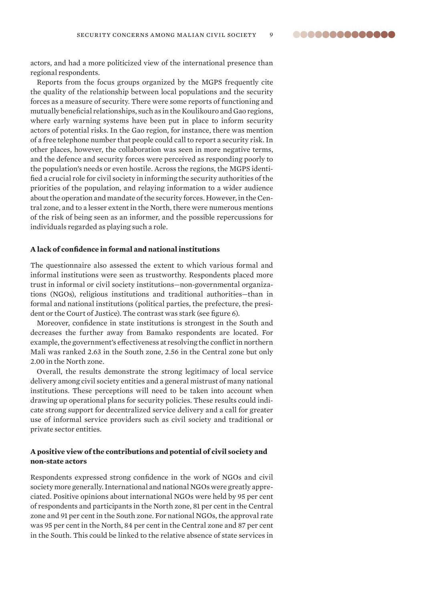actors, and had a more politicized view of the international presence than regional respondents.

Reports from the focus groups organized by the MGPS frequently cite the quality of the relationship between local populations and the security forces as a measure of security. There were some reports of functioning and mutually beneficial relationships, such as in the Koulikouro and Gao regions, where early warning systems have been put in place to inform security actors of potential risks. In the Gao region, for instance, there was mention of a free telephone number that people could call to report a security risk. In other places, however, the collaboration was seen in more negative terms, and the defence and security forces were perceived as responding poorly to the population's needs or even hostile. Across the regions, the MGPS identified a crucial role for civil society in informing the security authorities of the priorities of the population, and relaying information to a wider audience about the operation and mandate of the security forces. However, in the Central zone, and to a lesser extent in the North, there were numerous mentions of the risk of being seen as an informer, and the possible repercussions for individuals regarded as playing such a role.

#### **A lack of confi dence in formal and national institutions**

The questionnaire also assessed the extent to which various formal and informal institutions were seen as trustworthy. Respondents placed more trust in informal or civil society institutions—non-govern mental organizations (NGOs), religious institutions and traditional authorities—than in formal and national institutions (political parties, the prefecture, the president or the Court of Justice). The contrast was stark (see figure 6).

Moreover, confidence in state institutions is strongest in the South and decreases the further away from Bamako respondents are located. For example, the government's effectiveness at resolving the conflict in northern Mali was ranked 2.63 in the South zone, 2.56 in the Central zone but only 2.00 in the North zone.

Overall, the results demonstrate the strong legitimacy of local service delivery among civil society entities and a general mistrust of many national institutions. These perceptions will need to be taken into account when drawing up operational plans for security policies. These results could indicate strong support for decentralized service delivery and a call for greater use of informal service providers such as civil society and traditional or private sector entities.

#### **A positive view of the contributions and potential of civil society and non-state actors**

Respondents expressed strong confidence in the work of NGOs and civil society more generally. International and national NGOs were greatly appreciated. Positive opinions about international NGOs were held by 95 per cent of respondents and participants in the North zone, 81 per cent in the Central zone and 91 per cent in the South zone. For national NGOs, the approval rate was 95 per cent in the North, 84 per cent in the Central zone and 87 per cent in the South. This could be linked to the relative absence of state services in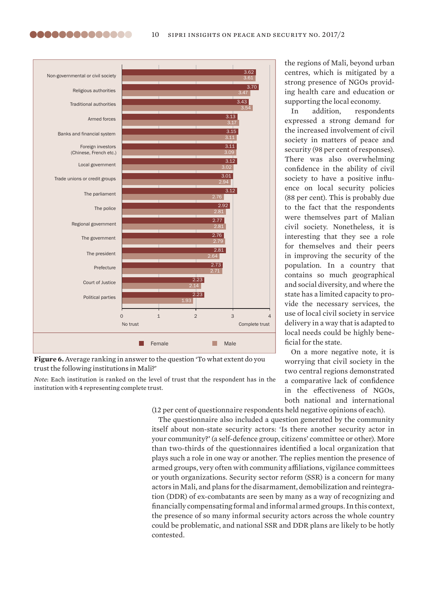

**Figure 6.** Average ranking in answer to the question 'To what extent do you trust the following institutions in Mali?'

*Note*: Each institution is ranked on the level of trust that the respondent has in the institution with 4 representing complete trust.

the regions of Mali, beyond urban centres, which is mitigated by a strong presence of NGOs providing health care and education or supporting the local economy.

In addition, respondents expressed a strong demand for the increased involvement of civil society in matters of peace and security (98 per cent of responses). There was also overwhelming confidence in the ability of civil society to have a positive influence on local security policies (88 per cent). This is probably due to the fact that the respondents were themselves part of Malian civil society. Nonetheless, it is interesting that they see a role for themselves and their peers in improving the security of the population. In a country that contains so much geographical and social diversity, and where the state has a limited capacity to provide the necessary services, the use of local civil society in service delivery in a way that is adapted to local needs could be highly beneficial for the state.

On a more negative note, it is worrying that civil society in the two central regions demonstrated a comparative lack of confidence in the effectiveness of NGOs. both national and international

(12 per cent of questionnaire respondents held negative opinions of each).

The questionnaire also included a question generated by the community itself about non-state security actors: 'Is there another security actor in your community?' (a self-defence group, citizens' committee or other). More than two-thirds of the questionnaires identified a local organization that plays such a role in one way or another. The replies mention the presence of armed groups, very often with community affiliations, vigilance committees or youth organizations. Security sector reform (SSR) is a concern for many actors in Mali, and plans for the disarmament, demobilization and reintegration (DDR) of ex-combatants are seen by many as a way of recognizing and financially compensating formal and informal armed groups. In this context, the presence of so many informal security actors across the whole country could be problematic, and national SSR and DDR plans are likely to be hotly contested.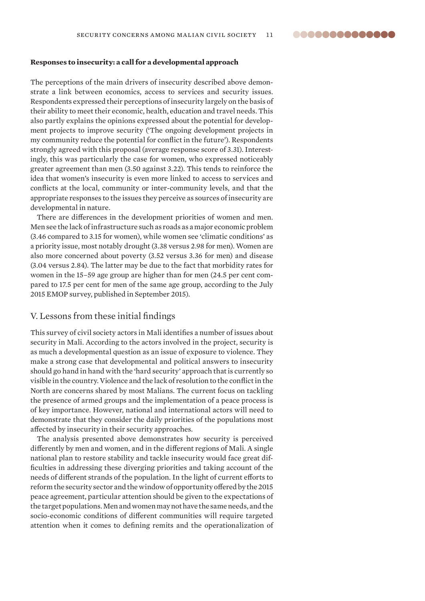#### **Responses to insecurity: a call for a developmental approach**

The perceptions of the main drivers of insecurity described above demonstrate a link between economics, access to services and security issues. Respondents expressed their perceptions of insecurity largely on the basis of their ability to meet their economic, health, education and travel needs. This also partly explains the opinions expressed about the potential for development projects to improve security ('The ongoing development projects in my community reduce the potential for conflict in the future'). Respondents strongly agreed with this proposal (average response score of 3.31). Interestingly, this was particularly the case for women, who expressed noticeably greater agreement than men (3.50 against 3.22). This tends to reinforce the idea that women's insecurity is even more linked to access to services and conflicts at the local, community or inter-community levels, and that the appropriate responses to the issues they perceive as sources of insecurity are developmental in nature.

There are differences in the development priorities of women and men. Men see the lack of infrastructure such as roads as a major economic problem (3.46 compared to 3.15 for women), while women see 'climatic conditions' as a priority issue, most notably drought (3.38 versus 2.98 for men). Women are also more concerned about poverty (3.52 versus 3.36 for men) and disease (3.04 versus 2.84). The latter may be due to the fact that morbidity rates for women in the 15–59 age group are higher than for men (24.5 per cent compared to 17.5 per cent for men of the same age group, according to the July 2015 EMOP survey, published in September 2015).

#### V. Lessons from these initial findings

This survey of civil society actors in Mali identifies a number of issues about security in Mali. According to the actors involved in the project, security is as much a developmental question as an issue of exposure to violence. They make a strong case that developmental and political answers to insecurity should go hand in hand with the 'hard security' approach that is currently so visible in the country. Violence and the lack of resolution to the conflict in the North are concerns shared by most Malians. The current focus on tackling the presence of armed groups and the implementation of a peace process is of key importance. However, national and international actors will need to demonstrate that they consider the daily priorities of the populations most affected by insecurity in their security approaches.

The analysis presented above demonstrates how security is perceived differently by men and women, and in the different regions of Mali. A single national plan to restore stability and tackle insecurity would face great difficulties in addressing these diverging priorities and taking account of the needs of different strands of the population. In the light of current efforts to reform the security sector and the window of opportunity offered by the 2015 peace agreement, particular attention should be given to the expectations of the target populations. Men and women may not have the same needs, and the socio-economic conditions of different communities will require targeted attention when it comes to defining remits and the operationalization of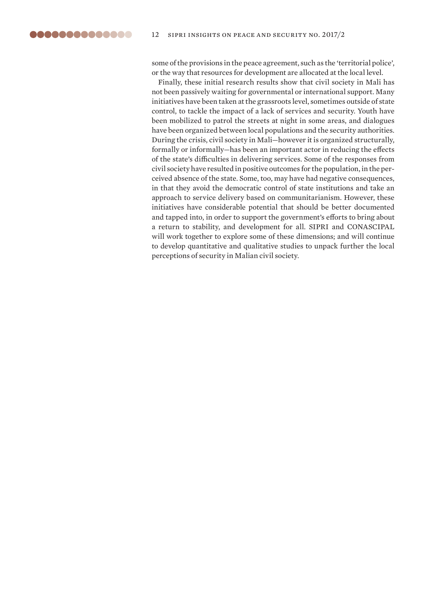some of the provisions in the peace agreement, such as the 'territorial police', or the way that resources for development are allocated at the local level.

Finally, these initial research results show that civil society in Mali has not been passively waiting for governmental or international support. Many initiatives have been taken at the grassroots level, sometimes outside of state control, to tackle the impact of a lack of services and security. Youth have been mobilized to patrol the streets at night in some areas, and dialogues have been organized between local populations and the security authorities. During the crisis, civil society in Mali—however it is organized structurally, formally or informally—has been an important actor in reducing the effects of the state's difficulties in delivering services. Some of the responses from civil society have resulted in positive outcomes for the population, in the perceived absence of the state. Some, too, may have had negative consequences, in that they avoid the democratic control of state institutions and take an approach to service delivery based on communitarianism. However, these initiatives have considerable potential that should be better documented and tapped into, in order to support the government's efforts to bring about a return to stability, and development for all. SIPRI and CONASCIPAL will work together to explore some of these dimensions; and will continue to develop quantitative and qualitative studies to unpack further the local perceptions of security in Malian civil society.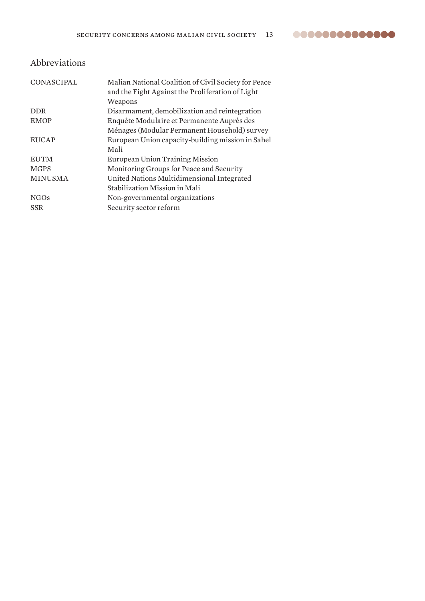### Abbreviations

| CONASCIPAL     | Malian National Coalition of Civil Society for Peace<br>and the Fight Against the Proliferation of Light<br>Weapons |
|----------------|---------------------------------------------------------------------------------------------------------------------|
| <b>DDR</b>     | Disarmament, demobilization and reintegration                                                                       |
| <b>EMOP</b>    | Enquête Modulaire et Permanente Auprès des                                                                          |
|                | Ménages (Modular Permanent Household) survey                                                                        |
| <b>EUCAP</b>   | European Union capacity-building mission in Sahel                                                                   |
|                | Mali                                                                                                                |
| <b>EUTM</b>    | <b>European Union Training Mission</b>                                                                              |
| <b>MGPS</b>    | Monitoring Groups for Peace and Security                                                                            |
| <b>MINUSMA</b> | United Nations Multidimensional Integrated                                                                          |
|                | Stabilization Mission in Mali                                                                                       |
| <b>NGOs</b>    | Non-governmental organizations                                                                                      |
| <b>SSR</b>     | Security sector reform                                                                                              |